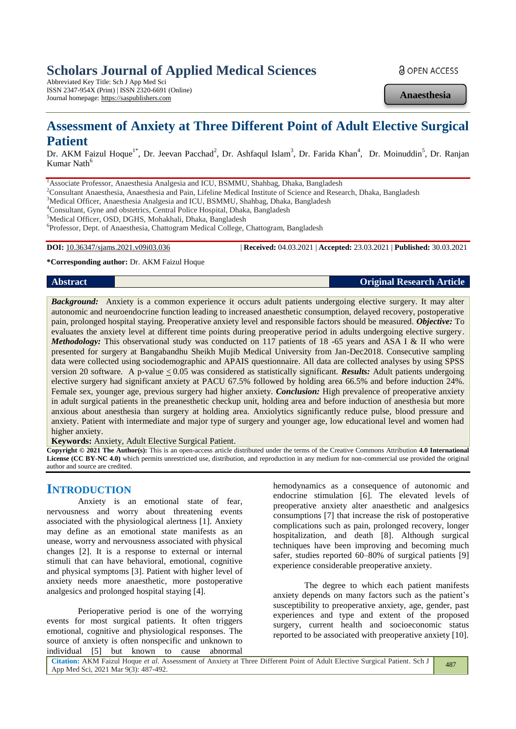# **Scholars Journal of Applied Medical Sciences**

Abbreviated Key Title: Sch J App Med Sci ISSN 2347-954X (Print) | ISSN 2320-6691 (Online) Journal homepage: https://saspublishers.com

**a** OPEN ACCESS

**Anaesthesia**

# **Assessment of Anxiety at Three Different Point of Adult Elective Surgical Patient**

Dr. AKM Faizul Hoque<sup>1\*</sup>, Dr. Jeevan Pacchad<sup>2</sup>, Dr. Ashfaqul Islam<sup>3</sup>, Dr. Farida Khan<sup>4</sup>, Dr. Moinuddin<sup>5</sup>, Dr. Ranjan Kumar Nath<sup>6</sup>

<sup>1</sup> Associate Professor, Anaesthesia Analgesia and ICU, BSMMU, Shahbag, Dhaka, Bangladesh

<sup>2</sup>Consultant Anaesthesia, Anaesthesia and Pain, Lifeline Medical Institute of Science and Research, Dhaka, Bangladesh

<sup>3</sup>Medical Officer, Anaesthesia Analgesia and ICU, BSMMU, Shahbag, Dhaka, Bangladesh

<sup>4</sup>Consultant, Gyne and obstetrics, Central Police Hospital, Dhaka, Bangladesh

<sup>5</sup>Medical Officer, OSD, DGHS, Mohakhali, Dhaka, Bangladesh

6 Professor, Dept. of Anaesthesia, Chattogram Medical College, Chattogram, Bangladesh

**DOI:** 10.36347/sjams.2021.v09i03.036 | **Received:** 04.03.2021 | **Accepted:** 23.03.2021 | **Published:** 30.03.2021

**\*Corresponding author:** Dr. AKM Faizul Hoque

**Abstract Original Research Article** 

*Background:* Anxiety is a common experience it occurs adult patients undergoing elective surgery. It may alter autonomic and neuroendocrine function leading to increased anaesthetic consumption, delayed recovery, postoperative pain, prolonged hospital staying. Preoperative anxiety level and responsible factors should be measured. *Objective:* To evaluates the anxiety level at different time points during preoperative period in adults undergoing elective surgery. *Methodology:* This observational study was conducted on 117 patients of 18 -65 years and ASA I & II who were presented for surgery at Bangabandhu Sheikh Mujib Medical University from Jan-Dec2018. Consecutive sampling data were collected using sociodemographic and APAIS questionnaire. All data are collected analyses by using SPSS version 20 software. A p-value < 0.05 was considered as statistically significant. *Results:* Adult patients undergoing elective surgery had significant anxiety at PACU 67.5% followed by holding area 66.5% and before induction 24%. Female sex, younger age, previous surgery had higher anxiety. *Conclusion:* High prevalence of preoperative anxiety in adult surgical patients in the preanesthetic checkup unit, holding area and before induction of anesthesia but more anxious about anesthesia than surgery at holding area. Anxiolytics significantly reduce pulse, blood pressure and anxiety. Patient with intermediate and major type of surgery and younger age, low educational level and women had higher anxiety.

**Keywords:** Anxiety, Adult Elective Surgical Patient.

**Copyright © 2021 The Author(s):** This is an open-access article distributed under the terms of the Creative Commons Attribution **4.0 International License (CC BY-NC 4.0)** which permits unrestricted use, distribution, and reproduction in any medium for non-commercial use provided the original author and source are credited.

# **INTRODUCTION**

Anxiety is an emotional state of fear, nervousness and worry about threatening events associated with the physiological alertness [1]. Anxiety may define as an emotional state manifests as an unease, worry and nervousness associated with physical changes [2]. It is a response to external or internal stimuli that can have behavioral, emotional, cognitive and physical symptoms [3]. Patient with higher level of anxiety needs more anaesthetic, more postoperative analgesics and prolonged hospital staying [4].

Perioperative period is one of the worrying events for most surgical patients. It often triggers emotional, cognitive and physiological responses. The source of anxiety is often nonspecific and unknown to individual [5] but known to cause abnormal

hemodynamics as a consequence of autonomic and endocrine stimulation [6]. The elevated levels of preoperative anxiety alter anaesthetic and analgesics consumptions [7] that increase the risk of postoperative complications such as pain, prolonged recovery, longer hospitalization, and death [8]. Although surgical techniques have been improving and becoming much safer, studies reported 60–80% of surgical patients [9] experience considerable preoperative anxiety.

The degree to which each patient manifests anxiety depends on many factors such as the patient's susceptibility to preoperative anxiety, age, gender, past experiences and type and extent of the proposed surgery, current health and socioeconomic status reported to be associated with preoperative anxiety [10].

**Citation:** AKM Faizul Hoque *et al*. Assessment of Anxiety at Three Different Point of Adult Elective Surgical Patient. Sch J App Med Sci, 2021 Mar 9(3): 487-492. 487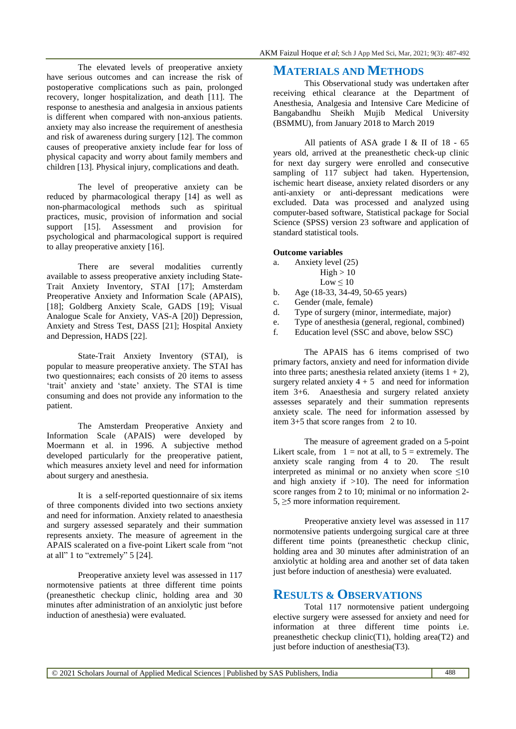The elevated levels of preoperative anxiety have serious outcomes and can increase the risk of postoperative complications such as pain, prolonged recovery, longer hospitalization, and death [11]. The response to anesthesia and analgesia in anxious patients is different when compared with non-anxious patients. anxiety may also increase the requirement of anesthesia and risk of awareness during surgery [12]. The common causes of preoperative anxiety include fear for loss of physical capacity and worry about family members and children [13]. Physical injury, complications and death.

The level of preoperative anxiety can be reduced by pharmacological therapy [14] as well as non-pharmacological methods such as spiritual practices, music, provision of information and social support [15]. Assessment and provision for psychological and pharmacological support is required to allay preoperative anxiety [16].

There are several modalities currently available to assess preoperative anxiety including State-Trait Anxiety Inventory, STAI [17]; Amsterdam Preoperative Anxiety and Information Scale (APAIS), [18]; Goldberg Anxiety Scale, GADS [19]; Visual Analogue Scale for Anxiety, VAS-A [20]) Depression, Anxiety and Stress Test, DASS [21]; Hospital Anxiety and Depression, HADS [22].

State-Trait Anxiety Inventory (STAI), is popular to measure preoperative anxiety. The STAI has two questionnaires; each consists of 20 items to assess 'trait' anxiety and 'state' anxiety. The STAI is time consuming and does not provide any information to the patient.

The Amsterdam Preoperative Anxiety and Information Scale (APAIS) were developed by Moermann et al. in 1996. A subjective method developed particularly for the preoperative patient, which measures anxiety level and need for information about surgery and anesthesia.

It is a self-reported questionnaire of six items of three components divided into two sections anxiety and need for information. Anxiety related to anaesthesia and surgery assessed separately and their summation represents anxiety. The measure of agreement in the APAIS scalerated on a five-point Likert scale from "not at all" 1 to "extremely" 5 [24].

Preoperative anxiety level was assessed in 117 normotensive patients at three different time points (preanesthetic checkup clinic, holding area and 30 minutes after administration of an anxiolytic just before induction of anesthesia) were evaluated.

# **MATERIALS AND METHODS**

This Observational study was undertaken after receiving ethical clearance at the Department of Anesthesia, Analgesia and Intensive Care Medicine of Bangabandhu Sheikh Mujib Medical University (BSMMU), from January 2018 to March 2019

All patients of ASA grade I & II of 18 - 65 years old, arrived at the preanesthetic check-up clinic for next day surgery were enrolled and consecutive sampling of 117 subject had taken. Hypertension, ischemic heart disease, anxiety related disorders or any anti-anxiety or anti-depressant medications were excluded. Data was processed and analyzed using computer-based software, Statistical package for Social Science (SPSS) version 23 software and application of standard statistical tools.

### **Outcome variables**

- a. Anxiety level (25)
	- $High > 10$
	- $Low \leq 10$
- b. Age (18-33, 34-49, 50-65 years)
- c. Gender (male, female)
- d. Type of surgery (minor, intermediate, major)
- e. Type of anesthesia (general, regional, combined)
- f. Education level (SSC and above, below SSC)

The APAIS has 6 items comprised of two primary factors, anxiety and need for information divide into three parts; anesthesia related anxiety (items  $1 + 2$ ), surgery related anxiety  $4 + 5$  and need for information item 3+6. Anaesthesia and surgery related anxiety assesses separately and their summation represents anxiety scale. The need for information assessed by item 3+5 that score ranges from 2 to 10.

The measure of agreement graded on a 5-point Likert scale, from  $1 = not$  at all, to  $5 =$  extremely. The anxiety scale ranging from 4 to 20. The result interpreted as minimal or no anxiety when score  $\leq 10$ and high anxiety if  $>10$ ). The need for information score ranges from 2 to 10; minimal or no information 2-  $5, \geq 5$  more information requirement.

Preoperative anxiety level was assessed in 117 normotensive patients undergoing surgical care at three different time points (preanesthetic checkup clinic, holding area and 30 minutes after administration of an anxiolytic at holding area and another set of data taken just before induction of anesthesia) were evaluated.

## **RESULTS & OBSERVATIONS**

Total 117 normotensive patient undergoing elective surgery were assessed for anxiety and need for information at three different time points i.e. preanesthetic checkup clinic(T1), holding area(T2) and just before induction of anesthesia(T3).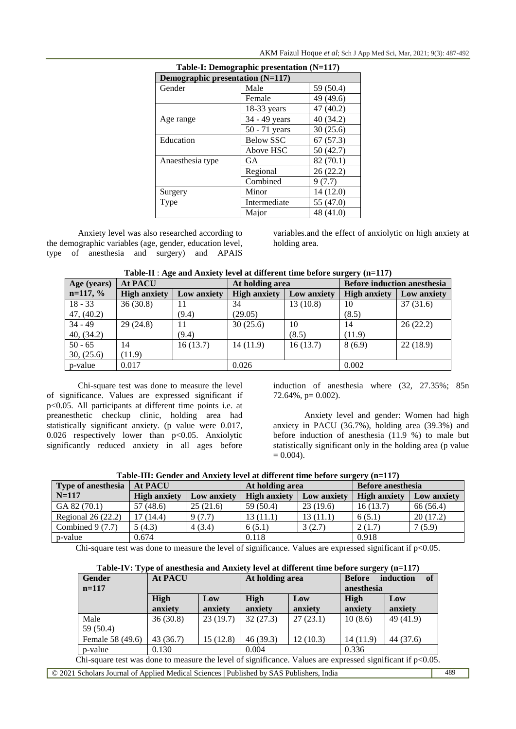| Table-I: Demographic presentation (N=117) |                  |           |  |  |  |
|-------------------------------------------|------------------|-----------|--|--|--|
| Demographic presentation (N=117)          |                  |           |  |  |  |
| Gender                                    | Male             | 59 (50.4) |  |  |  |
|                                           | Female           | 49 (49.6) |  |  |  |
|                                           | $18-33$ years    | 47 (40.2) |  |  |  |
| Age range                                 | 34 - 49 years    | 40 (34.2) |  |  |  |
|                                           | $50 - 71$ years  | 30(25.6)  |  |  |  |
| Education                                 | <b>Below SSC</b> | 67(57.3)  |  |  |  |
|                                           | Above HSC        | 50(42.7)  |  |  |  |
| Anaesthesia type                          | GA               | 82 (70.1) |  |  |  |
|                                           | Regional         | 26(22.2)  |  |  |  |
|                                           | Combined         | 9(7.7)    |  |  |  |
| Surgery                                   | Minor            | 14 (12.0) |  |  |  |
| Type                                      | Intermediate     | 55 (47.0) |  |  |  |
|                                           | Major            | 48 (41.0) |  |  |  |

AKM Faizul Hoque *et al*; Sch J App Med Sci, Mar, 2021; 9(3): 487-492

Anxiety level was also researched according to the demographic variables (age, gender, education level, type of anesthesia and surgery) and APAIS

variables.and the effect of anxiolytic on high anxiety at holding area.

| Table-II : Age and Anxiety level at different time before surgery (n=117) |  |  |  |  |  |  |  |  |
|---------------------------------------------------------------------------|--|--|--|--|--|--|--|--|
|---------------------------------------------------------------------------|--|--|--|--|--|--|--|--|

| Age (years) | <b>At PACU</b>      |             | At holding area     |             | <b>Before induction anesthesia</b> |             |  |
|-------------|---------------------|-------------|---------------------|-------------|------------------------------------|-------------|--|
| $n=117, %$  | <b>High anxiety</b> | Low anxiety | <b>High anxiety</b> | Low anxiety | <b>High anxiety</b>                | Low anxiety |  |
| $18 - 33$   | 36(30.8)            | 11          | 34                  | 13(10.8)    | 10                                 | 37(31.6)    |  |
| 47, (40.2)  |                     | (9.4)       | (29.05)             |             | (8.5)                              |             |  |
| $34 - 49$   | 29(24.8)            | 11          | 30(25.6)            | 10          | 14                                 | 26(22.2)    |  |
| 40, (34.2)  |                     | (9.4)       |                     | (8.5)       | (11.9)                             |             |  |
| $50 - 65$   | 14                  | 16(13.7)    | 14(11.9)            | 16(13.7)    | 8(6.9)                             | 22(18.9)    |  |
| 30, (25.6)  | (11.9)              |             |                     |             |                                    |             |  |
| p-value     | 0.017               |             | 0.026               |             | 0.002                              |             |  |

Chi-square test was done to measure the level of significance. Values are expressed significant if p<0.05. All participants at different time points i.e. at preanesthetic checkup clinic, holding area had statistically significant anxiety. (p value were 0.017, 0.026 respectively lower than p<0.05. Anxiolytic significantly reduced anxiety in all ages before

induction of anesthesia where (32, 27.35%; 85n 72.64%, p= 0.002).

Anxiety level and gender: Women had high anxiety in PACU (36.7%), holding area (39.3%) and before induction of anesthesia (11.9 %) to male but statistically significant only in the holding area (p value  $= 0.004$ ).

| Table-III: Gender and Anxiety level at different time before surgery (n=117) |  |  |
|------------------------------------------------------------------------------|--|--|
|                                                                              |  |  |

| <b>Type of anesthesia</b> | <b>At PACU</b>      |             | At holding area     |             | <b>Before anesthesia</b> |             |
|---------------------------|---------------------|-------------|---------------------|-------------|--------------------------|-------------|
| $N=117$                   | <b>High anxiety</b> | Low anxiety | <b>High anxiety</b> | Low anxiety | <b>High anxiety</b>      | Low anxiety |
| GA 82 (70.1)              | 57 (48.6)           | 25(21.6)    | 59 (50.4)           | 23(19.6)    | 16(13.7)                 | 66 (56.4)   |
| Regional $26(22.2)$       | 17 (14.4)           | 9(7.7)      | 13(11.1)            | 13(11.1)    | 6(5.1)                   | 20(17.2)    |
| Combined $9(7.7)$         | 5(4.3)              | 4(3.4)      | 6(5.1)              | 3(2.7)      | 2(1.7)                   | 7(5.9)      |
| p-value                   | 0.674               |             | 0.118               |             | 0.918                    |             |

Chi-square test was done to measure the level of significance. Values are expressed significant if  $p<0.05$ .

|  | Table-IV: Type of anesthesia and Anxiety level at different time before surgery (n=117) |
|--|-----------------------------------------------------------------------------------------|
|--|-----------------------------------------------------------------------------------------|

| <b>Gender</b><br>$n=117$                                                                                      | <b>At PACU</b>  |                | At holding area |                | of<br>induction<br><b>Before</b><br>anesthesia |                |
|---------------------------------------------------------------------------------------------------------------|-----------------|----------------|-----------------|----------------|------------------------------------------------|----------------|
|                                                                                                               | High<br>anxiety | Low<br>anxiety | High<br>anxiety | Low<br>anxiety | High<br>anxiety                                | Low<br>anxiety |
| Male<br>59 $(50.4)$                                                                                           | 36(30.8)        | 23(19.7)       | 32(27.3)        | 27(23.1)       | 10(8.6)                                        | 49(41.9)       |
| Female 58 (49.6)                                                                                              | 43(36.7)        | 15(12.8)       | 46(39.3)        | 12(10.3)       | 14(11.9)                                       | 44 (37.6)      |
| p-value                                                                                                       | 0.130           |                | 0.004           |                | 0.336                                          |                |
| Chi-square test was done to measure the level of significance. Values are expressed significant if $p<0.05$ . |                 |                |                 |                |                                                |                |

© 2021 Scholars Journal of Applied Medical Sciences | Published by SAS Publishers, India 489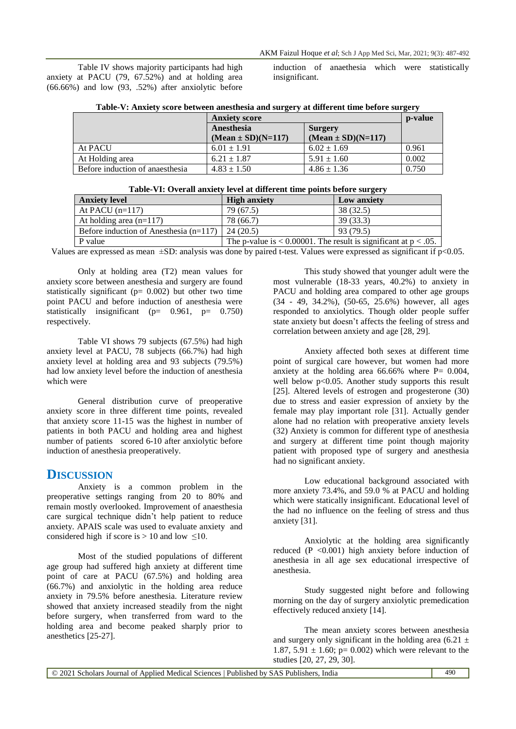Table IV shows majority participants had high anxiety at PACU (79, 67.52%) and at holding area (66.66%) and low (93, .52%) after anxiolytic before

induction of anaethesia which were statistically insignificant.

|  |  |  |  |  | Table-V: Anxiety score between anesthesia and surgery at different time before surgery |  |
|--|--|--|--|--|----------------------------------------------------------------------------------------|--|
|--|--|--|--|--|----------------------------------------------------------------------------------------|--|

|                                 | <b>Anxiety score</b>   | p-value                |       |
|---------------------------------|------------------------|------------------------|-------|
|                                 | Anesthesia             | Surgery                |       |
|                                 | $(Mean \pm SD)(N=117)$ | $(Mean \pm SD)(N=117)$ |       |
| At PACU                         | $6.01 \pm 1.91$        | $6.02 \pm 1.69$        | 0.961 |
| At Holding area                 | $6.21 \pm 1.87$        | $5.91 \pm 1.60$        | 0.002 |
| Before induction of anaesthesia | $4.83 \pm 1.50$        | $4.86 \pm 1.36$        | 0.750 |

| Table-VI: Overall anxiety level at different time points before surgery |  |  |
|-------------------------------------------------------------------------|--|--|
|-------------------------------------------------------------------------|--|--|

| $10.101$ we will be seen value points to be one give $\mu$ |                                                                       |             |  |  |  |
|------------------------------------------------------------|-----------------------------------------------------------------------|-------------|--|--|--|
| <b>Anxiety level</b>                                       | <b>High anxiety</b>                                                   | Low anxiety |  |  |  |
| At PACU $(n=117)$                                          | 79 (67.5)                                                             | 38 (32.5)   |  |  |  |
| At holding area $(n=117)$                                  | 78 (66.7)                                                             | 39(33.3)    |  |  |  |
| Before induction of Anesthesia $(n=117)$                   | 24(20.5)                                                              | 93 (79.5)   |  |  |  |
| P value                                                    | The p-value is $< 0.00001$ . The result is significant at $p < .05$ . |             |  |  |  |

Values are expressed as mean  $\pm$ SD: analysis was done by paired t-test. Values were expressed as significant if p<0.05.

Only at holding area (T2) mean values for anxiety score between anesthesia and surgery are found statistically significant ( $p= 0.002$ ) but other two time point PACU and before induction of anesthesia were statistically insignificant ( $p= 0.961$ ,  $p= 0.750$ ) respectively.

Table VI shows 79 subjects (67.5%) had high anxiety level at PACU, 78 subjects (66.7%) had high anxiety level at holding area and 93 subjects (79.5%) had low anxiety level before the induction of anesthesia which were

General distribution curve of preoperative anxiety score in three different time points, revealed that anxiety score 11-15 was the highest in number of patients in both PACU and holding area and highest number of patients scored 6-10 after anxiolytic before induction of anesthesia preoperatively.

# **DISCUSSION**

Anxiety is a common problem in the preoperative settings ranging from 20 to 80% and remain mostly overlooked. Improvement of anaesthesia care surgical technique didn't help patient to reduce anxiety. APAIS scale was used to evaluate anxiety and considered high if score is  $> 10$  and low  $\leq 10$ .

Most of the studied populations of different age group had suffered high anxiety at different time point of care at PACU (67.5%) and holding area (66.7%) and anxiolytic in the holding area reduce anxiety in 79.5% before anesthesia. Literature review showed that anxiety increased steadily from the night before surgery, when transferred from ward to the holding area and become peaked sharply prior to anesthetics [25-27].

This study showed that younger adult were the most vulnerable (18-33 years, 40.2%) to anxiety in PACU and holding area compared to other age groups (34 - 49, 34.2%), (50-65, 25.6%) however, all ages responded to anxiolytics. Though older people suffer state anxiety but doesn't affects the feeling of stress and correlation between anxiety and age [28, 29].

Anxiety affected both sexes at different time point of surgical care however, but women had more anxiety at the holding area  $66.66\%$  where P= 0.004, well below p<0.05. Another study supports this result [25]. Altered levels of estrogen and progesterone (30) due to stress and easier expression of anxiety by the female may play important role [31]. Actually gender alone had no relation with preoperative anxiety levels (32) Anxiety is common for different type of anesthesia and surgery at different time point though majority patient with proposed type of surgery and anesthesia had no significant anxiety.

Low educational background associated with more anxiety 73.4%, and 59.0 % at PACU and holding which were statically insignificant. Educational level of the had no influence on the feeling of stress and thus anxiety [31].

Anxiolytic at the holding area significantly reduced (P <0.001) high anxiety before induction of anesthesia in all age sex educational irrespective of anesthesia.

Study suggested night before and following morning on the day of surgery anxiolytic premedication effectively reduced anxiety [14].

The mean anxiety scores between anesthesia and surgery only significant in the holding area (6.21  $\pm$ 1.87, 5.91  $\pm$  1.60; p= 0.002) which were relevant to the studies [20, 27, 29, 30].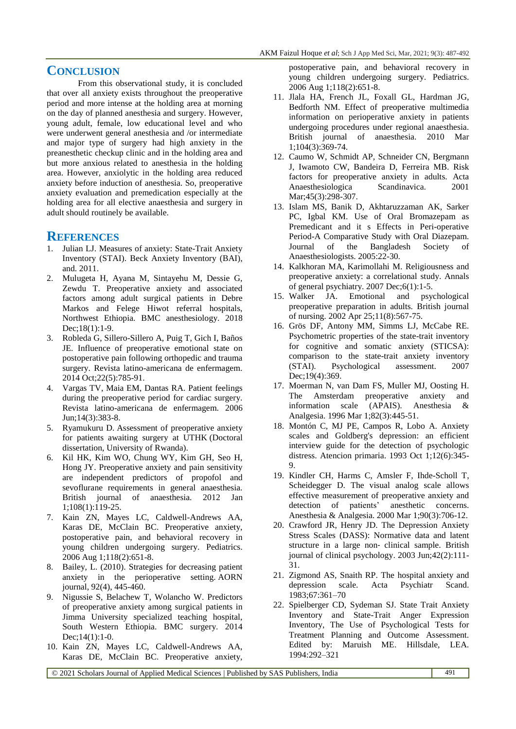# **CONCLUSION**

From this observational study, it is concluded that over all anxiety exists throughout the preoperative period and more intense at the holding area at morning on the day of planned anesthesia and surgery. However, young adult, female, low educational level and who were underwent general anesthesia and /or intermediate and major type of surgery had high anxiety in the preanesthetic checkup clinic and in the holding area and but more anxious related to anesthesia in the holding area. However, anxiolytic in the holding area reduced anxiety before induction of anesthesia. So, preoperative anxiety evaluation and premedication especially at the holding area for all elective anaesthesia and surgery in adult should routinely be available.

## **REFERENCES**

- 1. Julian LJ. Measures of anxiety: State-Trait Anxiety Inventory (STAI). Beck Anxiety Inventory (BAI), and. 2011.
- 2. Mulugeta H, Ayana M, Sintayehu M, Dessie G, Zewdu T. Preoperative anxiety and associated factors among adult surgical patients in Debre Markos and Felege Hiwot referral hospitals, Northwest Ethiopia. BMC anesthesiology. 2018 Dec:18(1):1-9.
- 3. Robleda G, Sillero-Sillero A, Puig T, Gich I, Baños JE. Influence of preoperative emotional state on postoperative pain following orthopedic and trauma surgery. Revista latino-americana de enfermagem. 2014 Oct;22(5):785-91.
- 4. Vargas TV, Maia EM, Dantas RA. Patient feelings during the preoperative period for cardiac surgery. Revista latino-americana de enfermagem. 2006 Jun;14(3):383-8.
- 5. Ryamukuru D. Assessment of preoperative anxiety for patients awaiting surgery at UTHK (Doctoral dissertation, University of Rwanda).
- 6. Kil HK, Kim WO, Chung WY, Kim GH, Seo H, Hong JY. Preoperative anxiety and pain sensitivity are independent predictors of propofol and sevoflurane requirements in general anaesthesia. British journal of anaesthesia. 2012 Jan 1;108(1):119-25.
- 7. Kain ZN, Mayes LC, Caldwell-Andrews AA, Karas DE, McClain BC. Preoperative anxiety, postoperative pain, and behavioral recovery in young children undergoing surgery. Pediatrics. 2006 Aug 1;118(2):651-8.
- 8. Bailey, L. (2010). Strategies for decreasing patient anxiety in the perioperative setting. AORN journal, 92(4), 445-460.
- 9. Nigussie S, Belachew T, Wolancho W. Predictors of preoperative anxiety among surgical patients in Jimma University specialized teaching hospital, South Western Ethiopia. BMC surgery. 2014 Dec:14(1):1-0.
- 10. Kain ZN, Mayes LC, Caldwell-Andrews AA, Karas DE, McClain BC. Preoperative anxiety,

postoperative pain, and behavioral recovery in young children undergoing surgery. Pediatrics. 2006 Aug 1;118(2):651-8.

- 11. Jlala HA, French JL, Foxall GL, Hardman JG, Bedforth NM. Effect of preoperative multimedia information on perioperative anxiety in patients undergoing procedures under regional anaesthesia. British journal of anaesthesia. 2010 Mar 1;104(3):369-74.
- 12. Caumo W, Schmidt AP, Schneider CN, Bergmann J, Iwamoto CW, Bandeira D, Ferreira MB. Risk factors for preoperative anxiety in adults. Acta Anaesthesiologica Scandinavica. 2001 Mar: 45(3): 298-307.
- 13. Islam MS, Banik D, Akhtaruzzaman AK, Sarker PC, Igbal KM. Use of Oral Bromazepam as Premedicant and it s Effects in Peri-operative Period-A Comparative Study with Oral Diazepam. Journal of the Bangladesh Society of Anaesthesiologists. 2005:22-30.
- 14. Kalkhoran MA, Karimollahi M. Religiousness and preoperative anxiety: a correlational study. Annals of general psychiatry.  $2007$  Dec; $6(1)$ :1-5.
- 15. Walker JA. Emotional and psychological preoperative preparation in adults. British journal of nursing. 2002 Apr 25;11(8):567-75.
- 16. Grös DF, Antony MM, Simms LJ, McCabe RE. Psychometric properties of the state-trait inventory for cognitive and somatic anxiety (STICSA): comparison to the state-trait anxiety inventory (STAI). Psychological assessment. 2007 Dec;19(4):369.
- 17. Moerman N, van Dam FS, Muller MJ, Oosting H. The Amsterdam preoperative anxiety and information scale (APAIS). Anesthesia & Analgesia. 1996 Mar 1;82(3):445-51.
- 18. Montón C, MJ PE, Campos R, Lobo A. Anxiety scales and Goldberg's depression: an efficient interview guide for the detection of psychologic distress. Atencion primaria. 1993 Oct 1;12(6):345- 9.
- 19. Kindler CH, Harms C, Amsler F, Ihde-Scholl T, Scheidegger D. The visual analog scale allows effective measurement of preoperative anxiety and detection of patients' anesthetic concerns. Anesthesia & Analgesia. 2000 Mar 1;90(3):706-12.
- 20. Crawford JR, Henry JD. The Depression Anxiety Stress Scales (DASS): Normative data and latent structure in a large non‐ clinical sample. British journal of clinical psychology. 2003 Jun;42(2):111- 31.
- 21. Zigmond AS, Snaith RP. The hospital anxiety and depression scale. Acta Psychiatr Scand. 1983;67:361–70
- 22. Spielberger CD, Sydeman SJ. State Trait Anxiety Inventory and State-Trait Anger Expression Inventory, The Use of Psychological Tests for Treatment Planning and Outcome Assessment. Edited by: Maruish ME. Hillsdale, LEA. 1994:292–321

© 2021 Scholars Journal of Applied Medical Sciences | Published by SAS Publishers, India 491